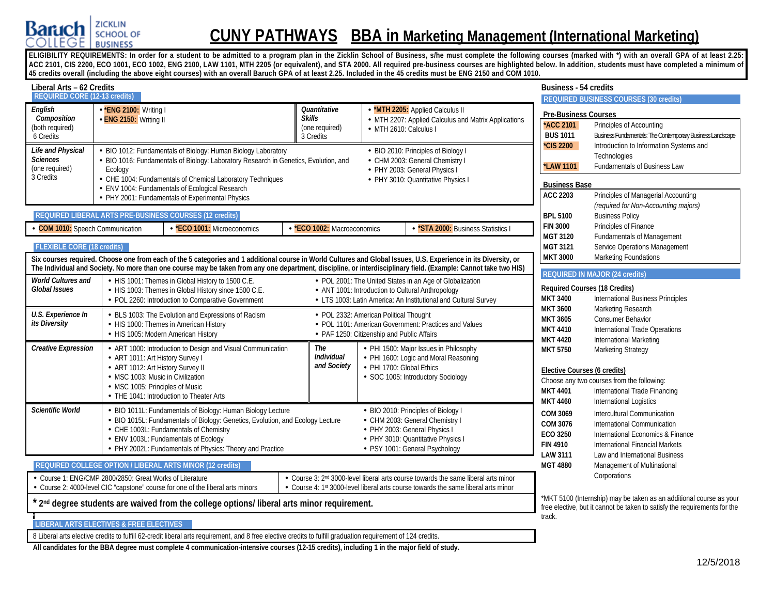

# **CUNY PATHWAYS BBA in Marketing Management (International Marketing)**

ELIGIBILITY REQUIREMENTS: In order for a student to be admitted to a program plan in the Zicklin School of Business, s/he must complete the following courses (marked with \*) with an overall GPA of at least 2.25: **ACC 2101, CIS 2200, ECO 1001, ECO 1002, ENG 2100, LAW 1101, MTH 2205 (or equivalent), and STA 2000. All required pre-business courses are highlighted below. In addition, students must have completed a minimum of 45 credits overall (including the above eight courses) with an overall Baruch GPA of at least 2.25. Included in the 45 credits must be ENG 2150 and COM 1010.**

| Liberal Arts - 62 Credits                                           |                                                                                                                                                                                                                                                                                                                                      |                                                              |                                                                                                                                                                                  | Business - 54 credits                                                                 |                                                                                                                                                                             |
|---------------------------------------------------------------------|--------------------------------------------------------------------------------------------------------------------------------------------------------------------------------------------------------------------------------------------------------------------------------------------------------------------------------------|--------------------------------------------------------------|----------------------------------------------------------------------------------------------------------------------------------------------------------------------------------|---------------------------------------------------------------------------------------|-----------------------------------------------------------------------------------------------------------------------------------------------------------------------------|
| <b>REQUIRED CORE (12-13 credits)</b>                                |                                                                                                                                                                                                                                                                                                                                      |                                                              |                                                                                                                                                                                  |                                                                                       | <b>REQUIRED BUSINESS COURSES (30 credits)</b>                                                                                                                               |
| English<br>Composition<br>(both required)<br>6 Credits              | - *ENG 2100: Writing I<br>- ENG 2150: Writing II                                                                                                                                                                                                                                                                                     | Quantitative<br><b>Skills</b><br>(one required)<br>3 Credits | <b>MTH 2205:</b> Applied Calculus II<br>- MTH 2207: Applied Calculus and Matrix Applications<br>- MTH 2610: Calculus I                                                           | <b>Pre-Business Courses</b><br>*ACC 2101<br><b>BUS 1011</b>                           | Principles of Accounting<br>Business Fundamentals: The Contemporary Business Landscape                                                                                      |
| Life and Physical<br><b>Sciences</b><br>(one required)<br>3 Credits | BIO 1012: Fundamentals of Biology: Human Biology Laboratory<br>BIO 1016: Fundamentals of Biology: Laboratory Research in Genetics, Evolution, and<br>Ecology<br>CHE 1004: Fundamentals of Chemical Laboratory Techniques                                                                                                             |                                                              | - BIO 2010: Principles of Biology I<br>- CHM 2003: General Chemistry I<br>- PHY 2003: General Physics I<br>- PHY 3010: Quantitative Physics I                                    | *CIS 2200<br><b>LAW 1101</b><br><b>Business Base</b>                                  | Introduction to Information Systems and<br>Technologies<br>Fundamentals of Business Law                                                                                     |
|                                                                     | ENV 1004: Fundamentals of Ecological Research<br>PHY 2001: Fundamentals of Experimental Physics                                                                                                                                                                                                                                      |                                                              |                                                                                                                                                                                  | <b>ACC 2203</b>                                                                       | Principles of Managerial Accounting<br>(required for Non-Accounting majors)                                                                                                 |
| <b>COM 1010:</b> Speech Communication                               | REQUIRED LIBERAL ARTS PRE-BUSINESS COURSES (12 credits)<br>- *ECO 1001: Microeconomics                                                                                                                                                                                                                                               | *ECO 1002: Macroeconomics                                    | *STA 2000: Business Statistics I                                                                                                                                                 | <b>BPL 5100</b><br><b>FIN 3000</b>                                                    | <b>Business Policy</b><br>Principles of Finance                                                                                                                             |
| <b>FLEXIBLE CORE (18 credits)</b>                                   |                                                                                                                                                                                                                                                                                                                                      |                                                              |                                                                                                                                                                                  | <b>MGT 3120</b><br>MGT 3121<br><b>MKT 3000</b>                                        | <b>Fundamentals of Management</b><br>Service Operations Management<br>Marketing Foundations                                                                                 |
|                                                                     | Six courses required. Choose one from each of the 5 categories and 1 additional course in World Cultures and Global Issues, U.S. Experience in its Diversity, or<br>The Individual and Society. No more than one course may be taken from any one department, discipline, or interdisciplinary field. (Example: Cannot take two HIS) |                                                              |                                                                                                                                                                                  |                                                                                       | <b>REQUIRED IN MAJOR (24 credits)</b>                                                                                                                                       |
| <b>World Cultures and</b><br><b>Global Issues</b>                   | - HIS 1001: Themes in Global History to 1500 C.E.<br>- HIS 1003: Themes in Global History since 1500 C.E.<br>- POL 2260: Introduction to Comparative Government                                                                                                                                                                      |                                                              | - POL 2001: The United States in an Age of Globalization<br>- ANT 1001: Introduction to Cultural Anthropology<br>- LTS 1003: Latin America: An Institutional and Cultural Survey | <b>MKT 3400</b>                                                                       | <b>Required Courses (18 Credits)</b><br><b>International Business Principles</b>                                                                                            |
| U.S. Experience In<br>its Diversity                                 | - BLS 1003: The Evolution and Expressions of Racism<br>- HIS 1000: Themes in American History<br>- HIS 1005: Modern American History                                                                                                                                                                                                 |                                                              | - POL 2332: American Political Thought<br>- POL 1101: American Government: Practices and Values<br>- PAF 1250: Citizenship and Public Affairs                                    | <b>MKT 3600</b><br><b>MKT 3605</b><br><b>MKT 4410</b><br><b>MKT 4420</b>              | Marketing Research<br><b>Consumer Behavior</b><br><b>International Trade Operations</b><br>International Marketing                                                          |
| <b>Creative Expression</b>                                          | - ART 1000: Introduction to Design and Visual Communication<br>- ART 1011: Art History Survey I<br>- ART 1012: Art History Survey II<br>- MSC 1003: Music in Civilization<br>- MSC 1005: Principles of Music<br>- THE 1041: Introduction to Theater Arts                                                                             | The<br><b>Individual</b><br>and Society                      | - PHI 1500: Major Issues in Philosophy<br>- PHI 1600: Logic and Moral Reasoning<br>- PHI 1700: Global Ethics<br>· SOC 1005: Introductory Sociology                               | <b>MKT 5750</b><br>Elective Courses (6 credits)<br><b>MKT 4401</b><br><b>MKT 4460</b> | Marketing Strategy<br>Choose any two courses from the following:<br>International Trade Financing<br>International Logistics                                                |
| <b>Scientific World</b>                                             | - BIO 1011L: Fundamentals of Biology: Human Biology Lecture<br>- BIO 1015L: Fundamentals of Biology: Genetics, Evolution, and Ecology Lecture<br>- CHE 1003L: Fundamentals of Chemistry<br>ENV 1003L: Fundamentals of Ecology<br>- PHY 2002L: Fundamentals of Physics: Theory and Practice                                           |                                                              | - BIO 2010: Principles of Biology I<br>- CHM 2003: General Chemistry I<br>- PHY 2003: General Physics I<br>- PHY 3010: Quantitative Physics I<br>· PSY 1001: General Psychology  | COM 3069<br>COM 3076<br>ECO 3250<br><b>FIN 4910</b><br><b>LAW 3111</b>                | Intercultural Communication<br>International Communication<br>International Economics & Finance<br><b>International Financial Markets</b><br>Law and International Business |
|                                                                     | REQUIRED COLLEGE OPTION / LIBERAL ARTS MINOR (12 credits)                                                                                                                                                                                                                                                                            |                                                              |                                                                                                                                                                                  | <b>MGT 4880</b>                                                                       | Management of Multinational<br>Corporations                                                                                                                                 |
|                                                                     | Course 1: ENG/CMP 2800/2850: Great Works of Literature<br>Course 2: 4000-level CIC "capstone" course for one of the liberal arts minors                                                                                                                                                                                              |                                                              | Course 3: 2 <sup>nd</sup> 3000-level liberal arts course towards the same liberal arts minor<br>Course 4: 1st 3000-level liberal arts course towards the same liberal arts minor |                                                                                       |                                                                                                                                                                             |
|                                                                     | 2 <sup>nd</sup> degree students are waived from the college options/ liberal arts minor requirement.                                                                                                                                                                                                                                 |                                                              |                                                                                                                                                                                  | track.                                                                                | *MKT 5100 (Internship) may be taken as an additional course as your<br>free elective, but it cannot be taken to satisfy the requirements for the                            |
|                                                                     | <b>LIBERAL ARTS ELECTIVES &amp; FREE ELECTIVES</b>                                                                                                                                                                                                                                                                                   |                                                              |                                                                                                                                                                                  |                                                                                       |                                                                                                                                                                             |

8 Liberal arts elective credits to fulfill 62-credit liberal arts requirement, and 8 free elective credits to fulfill graduation requirement of 124 credits.

**All candidates for the BBA degree must complete 4 communication-intensive courses (12-15 credits), including 1 in the major field of study.**